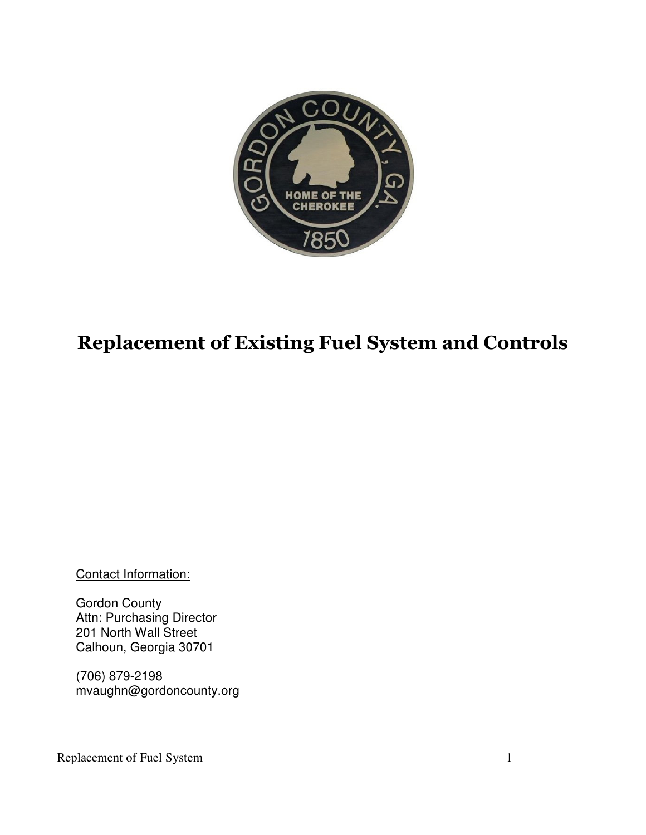

# **Replacement of Existing Fuel System and Controls**

Contact Information:

Gordon County Attn: Purchasing Director 201 North Wall Street Calhoun, Georgia 30701

(706) 879-2198 mvaughn@gordoncounty.org

Replacement of Fuel System 1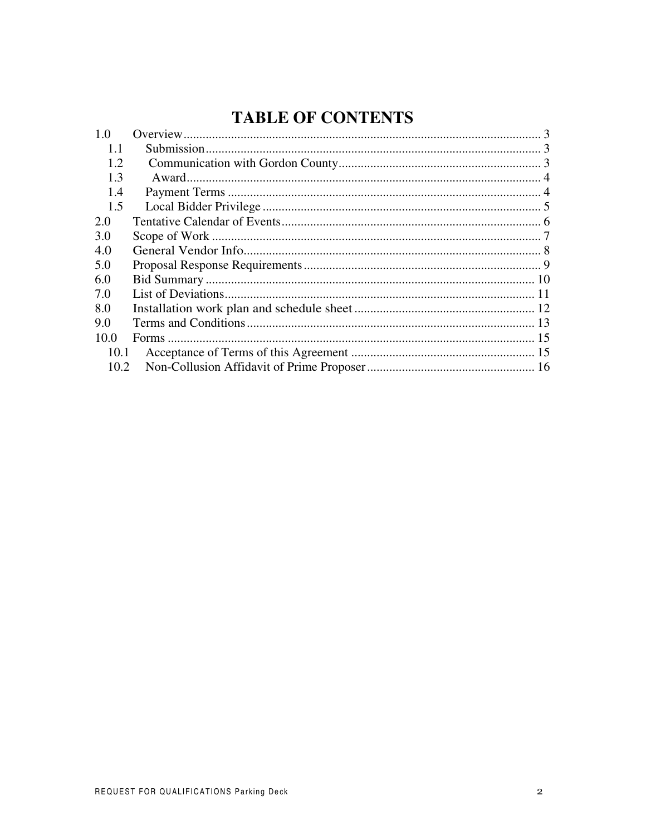# **TABLE OF CONTENTS**

| 1.0  |  |
|------|--|
| 1.1  |  |
| 1.2  |  |
| 1.3  |  |
| 1.4  |  |
| 1.5  |  |
| 2.0  |  |
| 3.0  |  |
| 4.0  |  |
| 5.0  |  |
| 6.0  |  |
| 7.0  |  |
| 8.0  |  |
| 9.0  |  |
| 10.0 |  |
| 10.1 |  |
| 10.2 |  |
|      |  |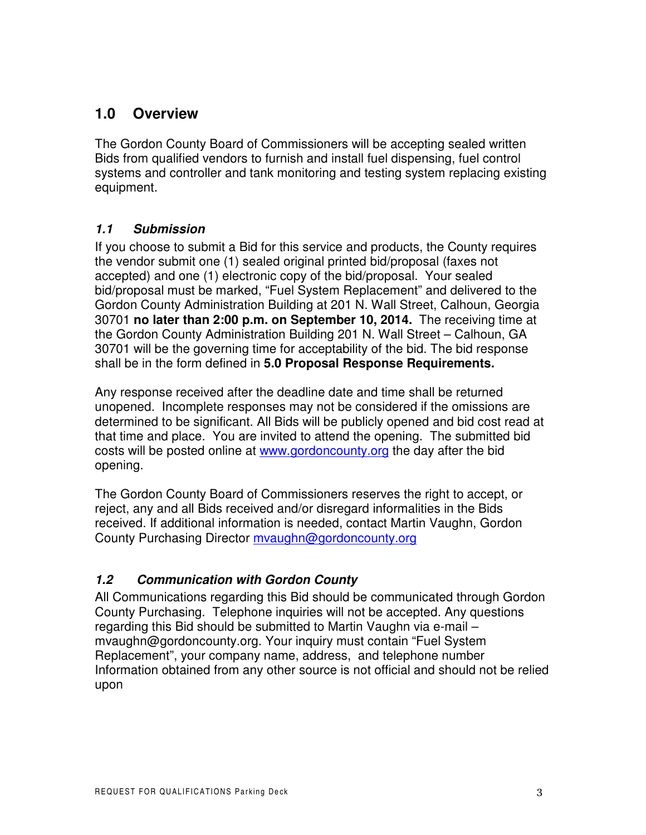### **1.0 Overview**

The Gordon County Board of Commissioners will be accepting sealed written Bids from qualified vendors to furnish and install fuel dispensing, fuel control systems and controller and tank monitoring and testing system replacing existing equipment.

#### *1.1 Submission*

If you choose to submit a Bid for this service and products, the County requires the vendor submit one (1) sealed original printed bid/proposal (faxes not accepted) and one (1) electronic copy of the bid/proposal. Your sealed bid/proposal must be marked, "Fuel System Replacement" and delivered to the Gordon County Administration Building at 201 N. Wall Street, Calhoun, Georgia 30701 **no later than 2:00 p.m. on September 10, 2014.** The receiving time at the Gordon County Administration Building 201 N. Wall Street – Calhoun, GA 30701 will be the governing time for acceptability of the bid. The bid response shall be in the form defined in **5.0 Proposal Response Requirements.**

Any response received after the deadline date and time shall be returned unopened. Incomplete responses may not be considered if the omissions are determined to be significant. All Bids will be publicly opened and bid cost read at that time and place. You are invited to attend the opening. The submitted bid costs will be posted online at www.gordoncounty.org the day after the bid opening.

The Gordon County Board of Commissioners reserves the right to accept, or reject, any and all Bids received and/or disregard informalities in the Bids received. If additional information is needed, contact Martin Vaughn, Gordon County Purchasing Director mvaughn@gordoncounty.org

#### *1.2 Communication with Gordon County*

All Communications regarding this Bid should be communicated through Gordon County Purchasing. Telephone inquiries will not be accepted. Any questions regarding this Bid should be submitted to Martin Vaughn via e-mail – mvaughn@gordoncounty.org. Your inquiry must contain "Fuel System Replacement", your company name, address, and telephone number Information obtained from any other source is not official and should not be relied upon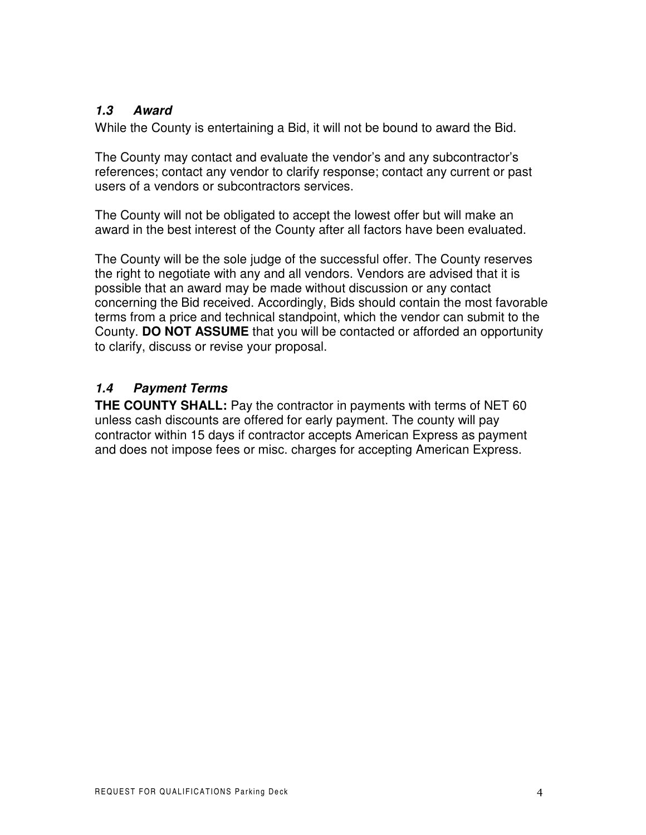#### *1.3 Award*

While the County is entertaining a Bid, it will not be bound to award the Bid.

The County may contact and evaluate the vendor's and any subcontractor's references; contact any vendor to clarify response; contact any current or past users of a vendors or subcontractors services.

The County will not be obligated to accept the lowest offer but will make an award in the best interest of the County after all factors have been evaluated.

The County will be the sole judge of the successful offer. The County reserves the right to negotiate with any and all vendors. Vendors are advised that it is possible that an award may be made without discussion or any contact concerning the Bid received. Accordingly, Bids should contain the most favorable terms from a price and technical standpoint, which the vendor can submit to the County. **DO NOT ASSUME** that you will be contacted or afforded an opportunity to clarify, discuss or revise your proposal.

#### *1.4 Payment Terms*

**THE COUNTY SHALL:** Pay the contractor in payments with terms of NET 60 unless cash discounts are offered for early payment. The county will pay contractor within 15 days if contractor accepts American Express as payment and does not impose fees or misc. charges for accepting American Express.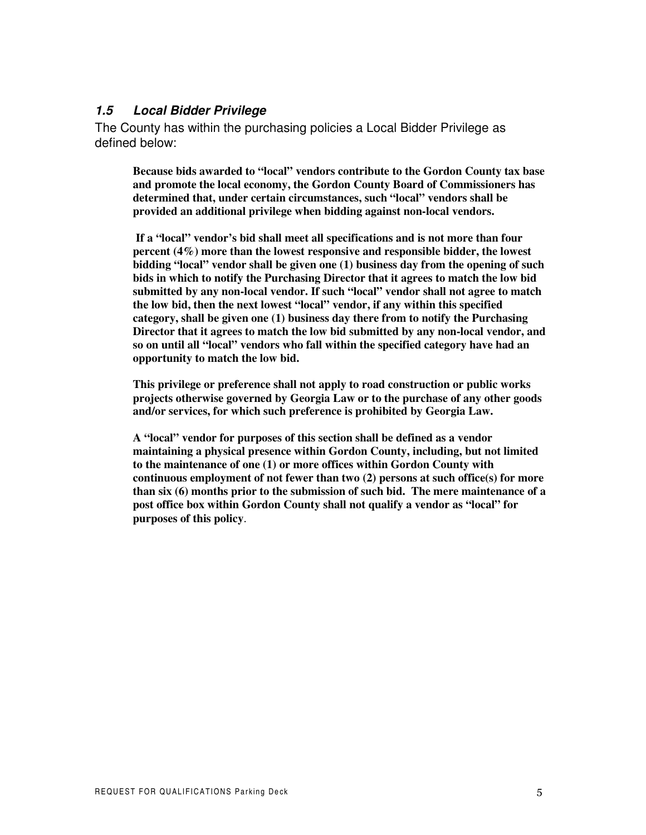#### *1.5 Local Bidder Privilege*

The County has within the purchasing policies a Local Bidder Privilege as defined below:

**Because bids awarded to "local" vendors contribute to the Gordon County tax base and promote the local economy, the Gordon County Board of Commissioners has determined that, under certain circumstances, such "local" vendors shall be provided an additional privilege when bidding against non-local vendors.**

**If a "local" vendor's bid shall meet all specifications and is not more than four percent (4%) more than the lowest responsive and responsible bidder, the lowest bidding "local" vendor shall be given one (1) business day from the opening of such bids in which to notify the Purchasing Director that it agrees to match the low bid submitted by any non-local vendor. If such "local" vendor shall not agree to match the low bid, then the next lowest "local" vendor, if any within this specified category, shall be given one (1) business day there from to notify the Purchasing Director that it agrees to match the low bid submitted by any non-local vendor, and so on until all "local" vendors who fall within the specified category have had an opportunity to match the low bid.**

**This privilege or preference shall not apply to road construction or public works projects otherwise governed by Georgia Law or to the purchase of any other goods and/or services, for which such preference is prohibited by Georgia Law.**

**A "local" vendor for purposes of this section shall be defined as a vendor maintaining a physical presence within Gordon County, including, but not limited to the maintenance of one (1) or more offices within Gordon County with continuous employment of not fewer than two (2) persons at such office(s) for more than six (6) months prior to the submission of such bid. The mere maintenance of a post office box within Gordon County shall not qualify a vendor as "local" for purposes of this policy**.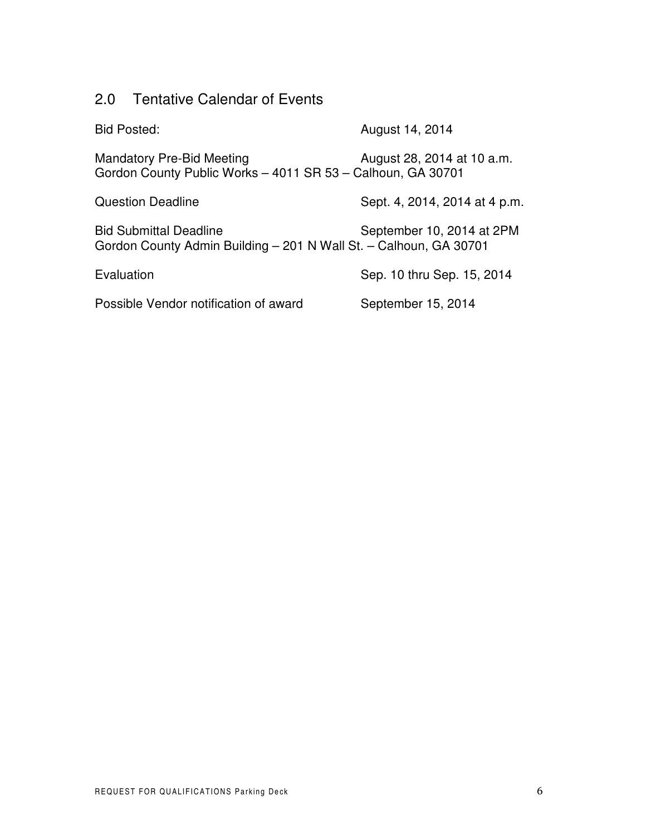## 2.0 Tentative Calendar of Events

| <b>Bid Posted:</b>                                                                                 | August 14, 2014               |
|----------------------------------------------------------------------------------------------------|-------------------------------|
| <b>Mandatory Pre-Bid Meeting</b><br>Gordon County Public Works - 4011 SR 53 - Calhoun, GA 30701    | August 28, 2014 at 10 a.m.    |
| <b>Question Deadline</b>                                                                           | Sept. 4, 2014, 2014 at 4 p.m. |
| <b>Bid Submittal Deadline</b><br>Gordon County Admin Building - 201 N Wall St. - Calhoun, GA 30701 | September 10, 2014 at 2PM     |
| Evaluation                                                                                         | Sep. 10 thru Sep. 15, 2014    |
| Possible Vendor notification of award                                                              | September 15, 2014            |
|                                                                                                    |                               |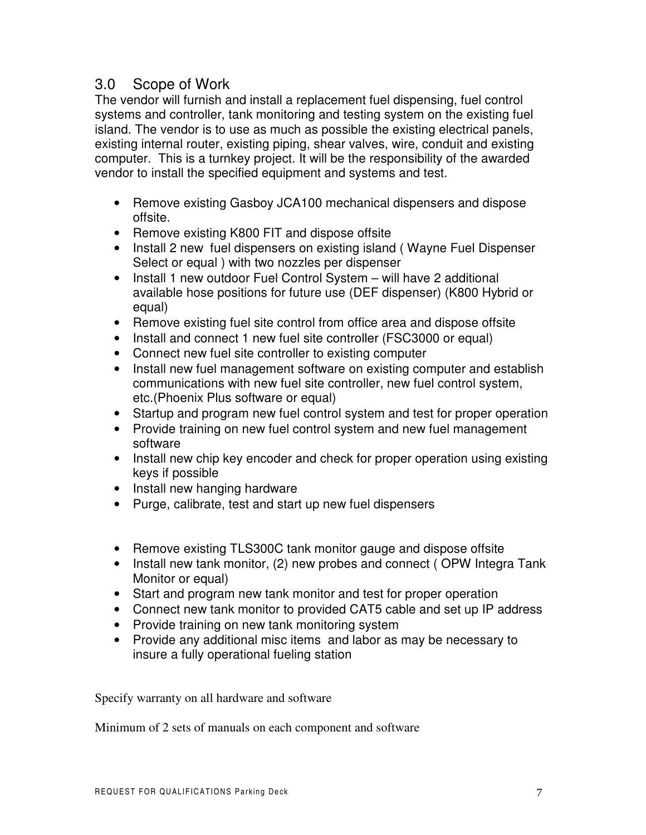### 3.0 Scope of Work

The vendor will furnish and install a replacement fuel dispensing, fuel control systems and controller, tank monitoring and testing system on the existing fuel island. The vendor is to use as much as possible the existing electrical panels, existing internal router, existing piping, shear valves, wire, conduit and existing computer. This is a turnkey project. It will be the responsibility of the awarded vendor to install the specified equipment and systems and test.

- Remove existing Gasboy JCA100 mechanical dispensers and dispose offsite.
- Remove existing K800 FIT and dispose offsite
- Install 2 new fuel dispensers on existing island (Wayne Fuel Dispenser Select or equal ) with two nozzles per dispenser
- Install 1 new outdoor Fuel Control System will have 2 additional available hose positions for future use (DEF dispenser) (K800 Hybrid or equal)
- Remove existing fuel site control from office area and dispose offsite
- Install and connect 1 new fuel site controller (FSC3000 or equal)
- Connect new fuel site controller to existing computer
- Install new fuel management software on existing computer and establish communications with new fuel site controller, new fuel control system, etc.(Phoenix Plus software or equal)
- Startup and program new fuel control system and test for proper operation
- Provide training on new fuel control system and new fuel management software
- Install new chip key encoder and check for proper operation using existing keys if possible
- Install new hanging hardware
- Purge, calibrate, test and start up new fuel dispensers
- Remove existing TLS300C tank monitor gauge and dispose offsite
- Install new tank monitor, (2) new probes and connect (OPW Integra Tank Monitor or equal)
- Start and program new tank monitor and test for proper operation
- Connect new tank monitor to provided CAT5 cable and set up IP address
- Provide training on new tank monitoring system
- Provide any additional misc items and labor as may be necessary to insure a fully operational fueling station

Specify warranty on all hardware and software

Minimum of 2 sets of manuals on each component and software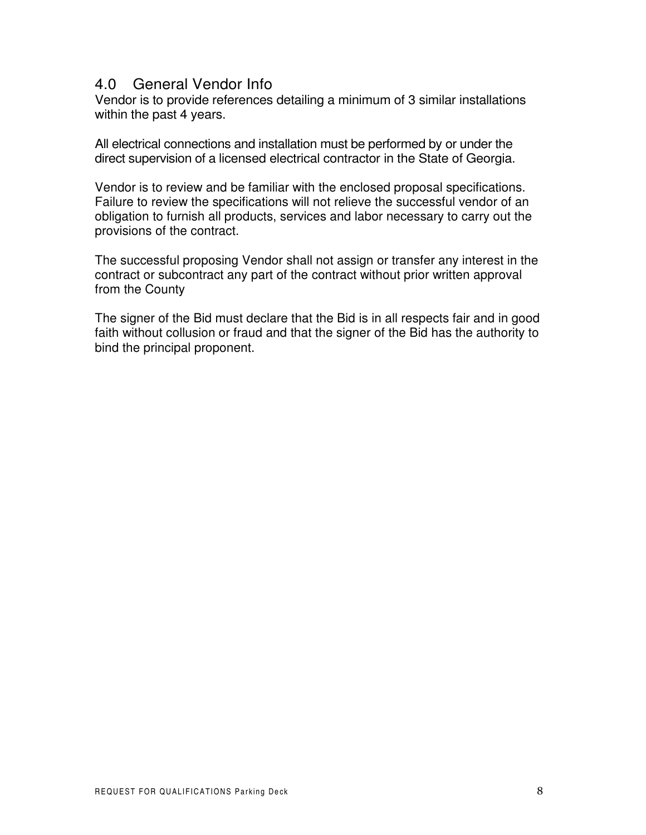#### 4.0 General Vendor Info

Vendor is to provide references detailing a minimum of 3 similar installations within the past 4 years.

All electrical connections and installation must be performed by or under the direct supervision of a licensed electrical contractor in the State of Georgia.

Vendor is to review and be familiar with the enclosed proposal specifications. Failure to review the specifications will not relieve the successful vendor of an obligation to furnish all products, services and labor necessary to carry out the provisions of the contract.

The successful proposing Vendor shall not assign or transfer any interest in the contract or subcontract any part of the contract without prior written approval from the County

The signer of the Bid must declare that the Bid is in all respects fair and in good faith without collusion or fraud and that the signer of the Bid has the authority to bind the principal proponent.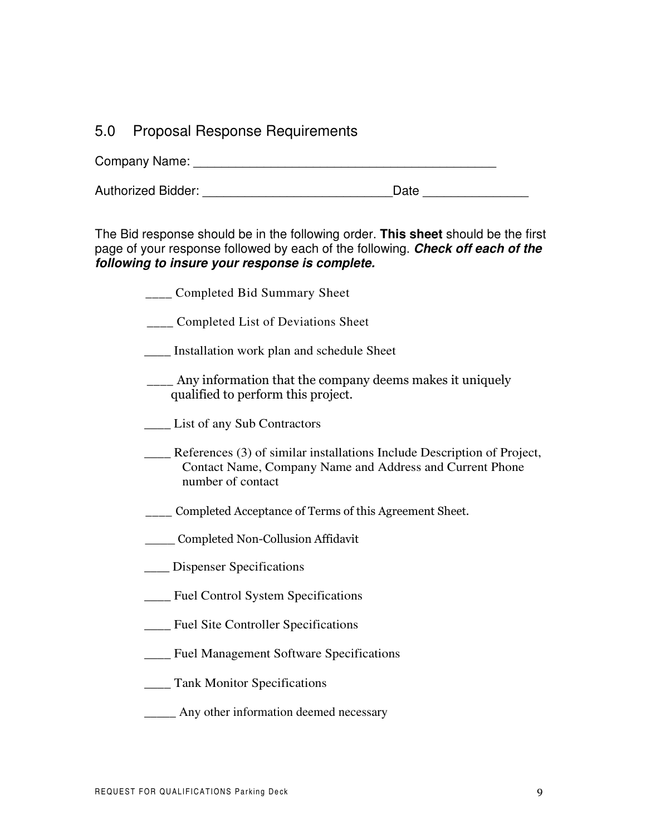#### 5.0 Proposal Response Requirements

Company Name: \_\_\_\_\_\_\_\_\_\_\_\_\_\_\_\_\_\_\_\_\_\_\_\_\_\_\_\_\_\_\_\_\_\_\_\_\_\_\_\_\_\_\_

Authorized Bidder: <br>
and the contract of the Date Date Date Date  $\sim$ 

The Bid response should be in the following order. **This sheet** should be the first page of your response followed by each of the following. *Check off each of the following to insure your response is complete.*

| Completed Bid Summary Sheet |  |
|-----------------------------|--|
|                             |  |

- **\_\_\_\_** Completed List of Deviations Sheet
- \_\_\_\_ Installation work plan and schedule Sheet
- \_\_\_\_ Any information that the company deems makes it uniquely qualified to perform this project.
- List of any Sub Contractors
- \_\_\_\_ References (3) of similar installations Include Description of Project, Contact Name, Company Name and Address and Current Phone number of contact
- **\_\_\_\_** Completed Acceptance of Terms of this Agreement Sheet.
- \_\_\_\_\_ Completed Non-Collusion Affidavit
- **\_\_\_\_** Dispenser Specifications
- \_\_\_\_ Fuel Control System Specifications
- \_\_\_\_ Fuel Site Controller Specifications
- \_\_\_\_ Fuel Management Software Specifications
- \_\_\_\_ Tank Monitor Specifications
- **\_\_\_\_\_** Any other information deemed necessary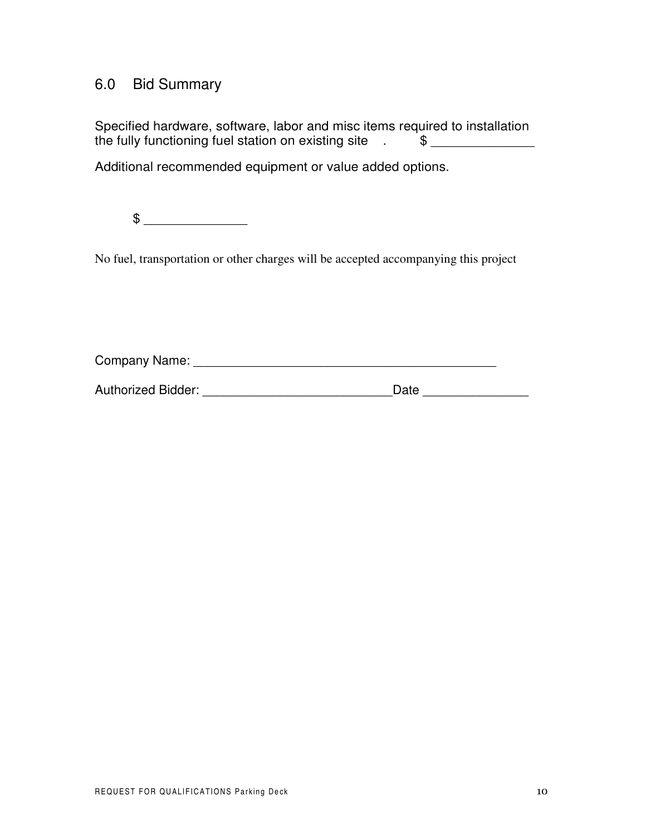### 6.0 Bid Summary

Specified hardware, software, labor and misc items required to installation the fully functioning fuel station on existing site . \$

Additional recommended equipment or value added options.

\$ \_\_\_\_\_\_\_\_\_\_\_\_\_\_

No fuel, transportation or other charges will be accepted accompanying this project

Company Name: \_\_\_\_\_\_\_\_\_\_\_\_\_\_\_\_\_\_\_\_\_\_\_\_\_\_\_\_\_\_\_\_\_\_\_\_\_\_\_\_\_\_\_

| <b>Authorized Bidder:</b> | Date |  |
|---------------------------|------|--|
|                           |      |  |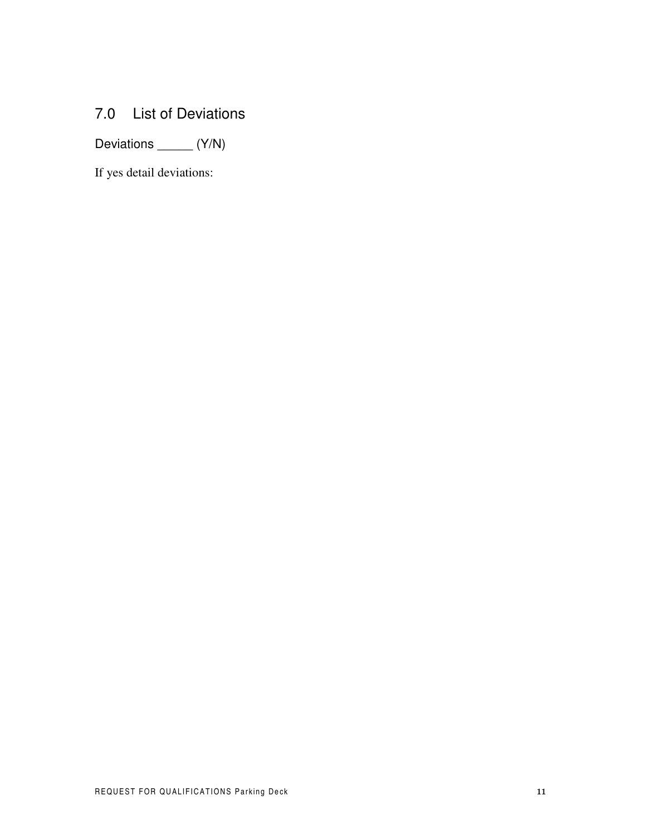### 7.0 List of Deviations

Deviations \_\_\_\_\_\_ (Y/N)

If yes detail deviations: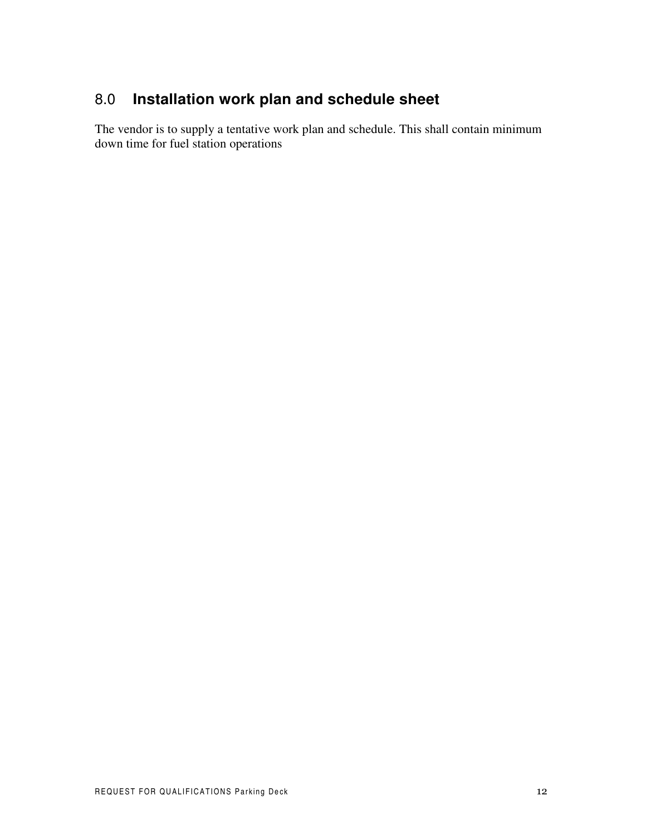## 8.0 **Installation work plan and schedule sheet**

The vendor is to supply a tentative work plan and schedule. This shall contain minimum down time for fuel station operations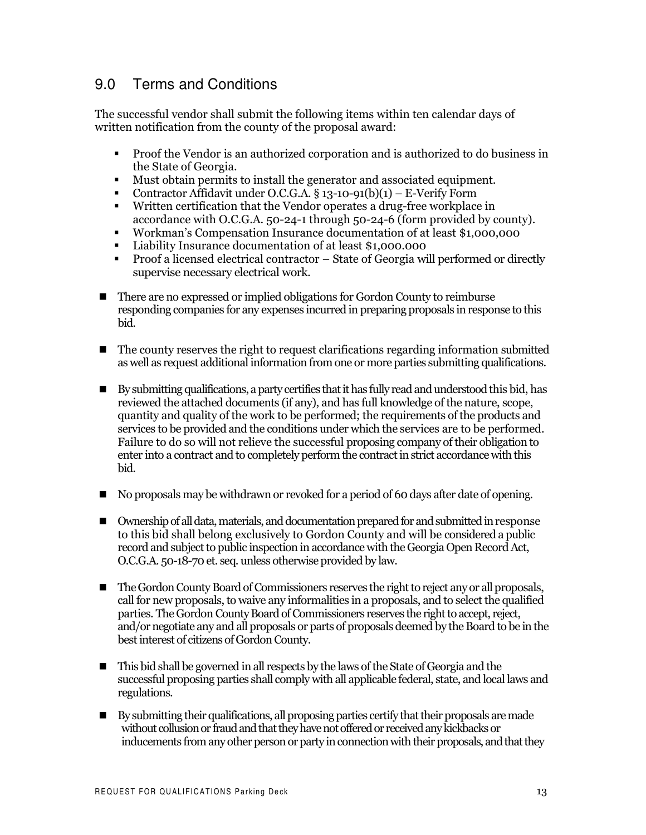#### $9.0$ **Terms and Conditions**

The successful vendor shall submit the following items within ten calendar days of written notification from the county of the proposal award:

- Proof the Vendor is an authorized corporation and is authorized to do business in  $\mathbf{r}$ the State of Georgia.
- Must obtain permits to install the generator and associated equipment.
- Contractor Affidavit under O.C.G.A. § 13-10-91(b)(1) E-Verify Form
- Written certification that the Vendor operates a drug-free workplace in accordance with O.C.G.A. 50-24-1 through 50-24-6 (form provided by county).
- Workman's Compensation Insurance documentation of at least \$1,000,000  $\mathbf{r}$
- Liability Insurance documentation of at least \$1,000,000
- Proof a licensed electrical contractor State of Georgia will performed or directly  $\mathbf{r}$ supervise necessary electrical work.
- There are no expressed or implied obligations for Gordon County to reimburse responding companies for any expenses incurred in preparing proposals in response to this bid.
- The county reserves the right to request clarifications regarding information submitted  $\blacksquare$ as well as request additional information from one or more parties submitting qualifications.
- By submitting qualifications, a party certifies that it has fully read and understood this bid, has reviewed the attached documents (if any), and has full knowledge of the nature, scope, quantity and quality of the work to be performed; the requirements of the products and services to be provided and the conditions under which the services are to be performed. Failure to do so will not relieve the successful proposing company of their obligation to enter into a contract and to completely perform the contract in strict accordance with this hid.
- No proposals may be withdrawn or revoked for a period of 60 days after date of opening.
- Ownership of all data, materials, and documentation prepared for and submitted in response  $\mathbf{r}$ to this bid shall belong exclusively to Gordon County and will be considered a public record and subject to public inspection in accordance with the Georgia Open Record Act, O.C.G.A. 50-18-70 et. seq. unless otherwise provided by law.
- $\blacksquare$ The Gordon County Board of Commissioners reserves the right to reject any or all proposals, call for new proposals, to waive any informalities in a proposals, and to select the qualified parties. The Gordon County Board of Commissioners reserves the right to accept, reject, and/or negotiate any and all proposals or parts of proposals deemed by the Board to be in the best interest of citizens of Gordon County.
- This bid shall be governed in all respects by the laws of the State of Georgia and the  $\blacksquare$ successful proposing parties shall comply with all applicable federal, state, and local laws and regulations.
- $\blacksquare$ By submitting their qualifications, all proposing parties certify that their proposals are made without collusion or fraud and that they have not offered or received any kickbacks or inducements from any other person or party in connection with their proposals, and that they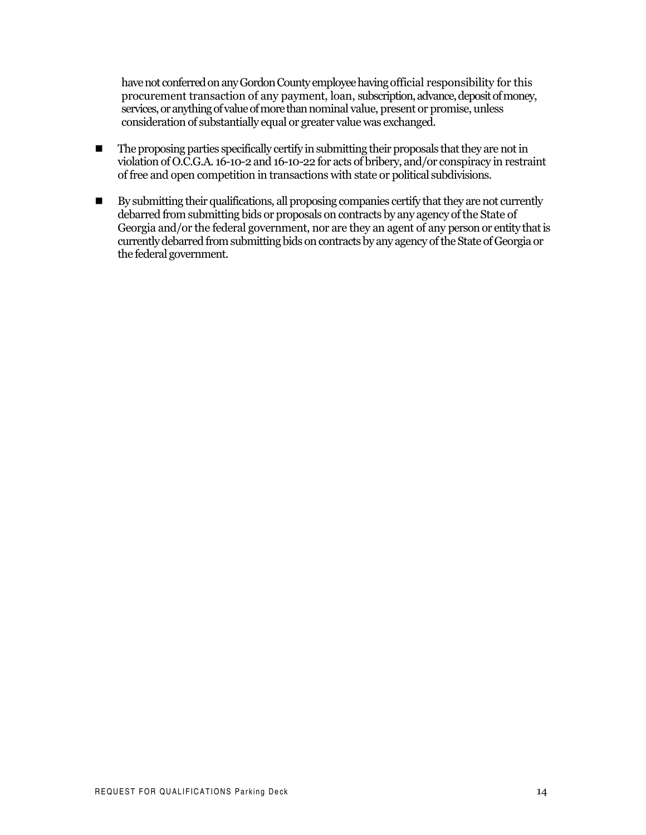have not conferred on any Gordon County employee having official responsibility for this procurement transaction of any payment, loan, subscription, advance, deposit of money, services, or anything of value of more than nominal value, present or promise, unless consideration of substantially equal or greater value was exchanged.

- The proposing parties specifically certify in submitting their proposals that they are not in  $\blacksquare$ violation of O.C.G.A. 16-10-2 and 16-10-22 for acts of bribery, and/or conspiracy in restraint of free and open competition in transactions with state or political subdivisions.
- $\blacksquare$ By submitting their qualifications, all proposing companies certify that they are not currently debarred from submitting bids or proposals on contracts by any agency of the State of Georgia and/or the federal government, nor are they an agent of any person or entity that is currently debarred from submitting bids on contracts by any agency of the State of Georgia or the federal government.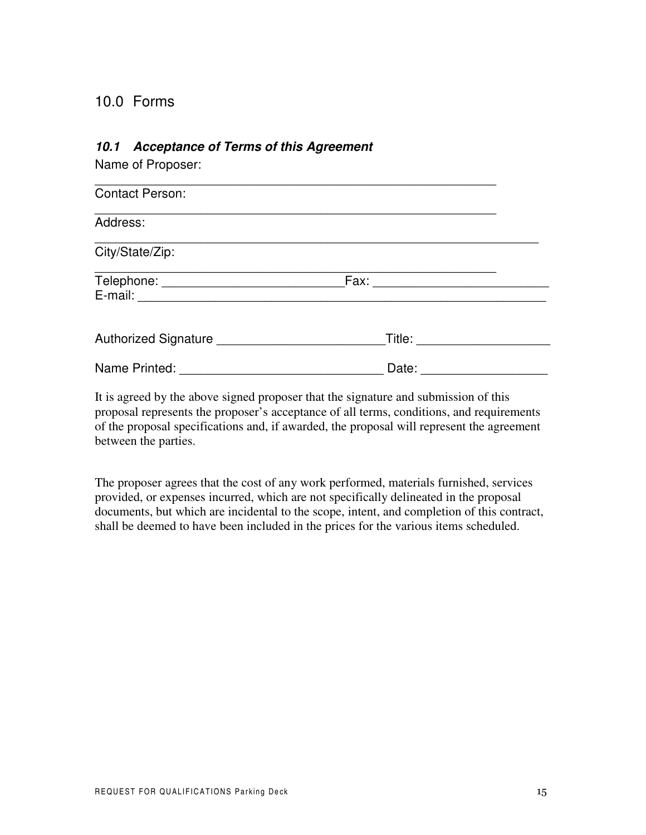### 10.0 Forms

#### *10.1 Acceptance of Terms of this Agreement*

Name of Proposer:

| <b>Contact Person:</b> |        |  |
|------------------------|--------|--|
| Address:               |        |  |
| City/State/Zip:        |        |  |
|                        | Fax:   |  |
| Authorized Signature   | Title: |  |
| Name Printed:          | Date:  |  |

It is agreed by the above signed proposer that the signature and submission of this proposal represents the proposer's acceptance of all terms, conditions, and requirements of the proposal specifications and, if awarded, the proposal will represent the agreement between the parties.

The proposer agrees that the cost of any work performed, materials furnished, services provided, or expenses incurred, which are not specifically delineated in the proposal documents, but which are incidental to the scope, intent, and completion of this contract, shall be deemed to have been included in the prices for the various items scheduled.